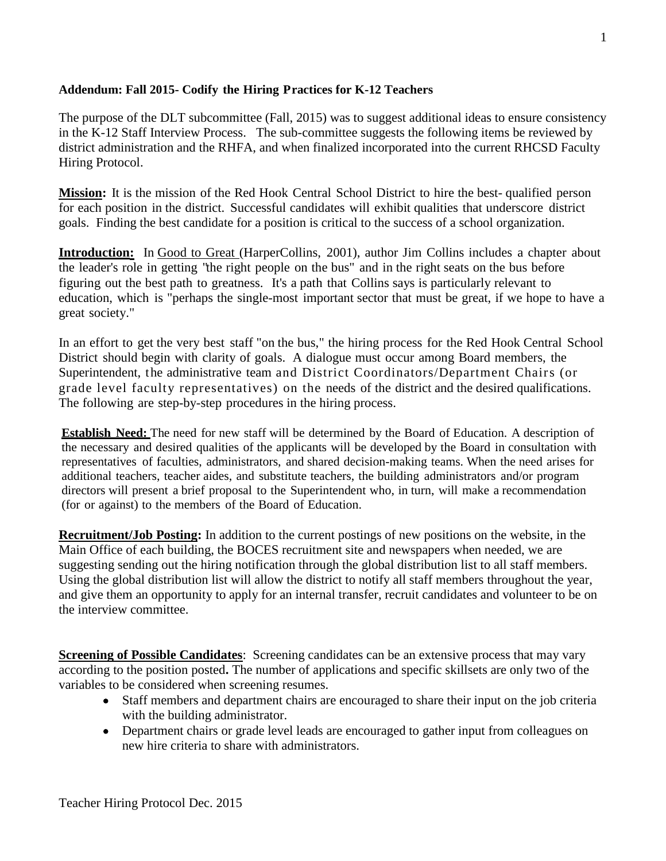## **Addendum: Fall 2015- Codify the Hiring Practices for K-12 Teachers**

The purpose of the DLT subcommittee (Fall, 2015) was to suggest additional ideas to ensure consistency in the K-12 Staff Interview Process. The sub-committee suggests the following items be reviewed by district administration and the RHFA, and when finalized incorporated into the current RHCSD Faculty Hiring Protocol.

**Mission:** It is the mission of the Red Hook Central School District to hire the best- qualified person for each position in the district. Successful candidates will exhibit qualities that underscore district goals. Finding the best candidate for a position is critical to the success of a school organization.

**Introduction:** In Good to Great (HarperCollins, 2001), author Jim Collins includes a chapter about the leader's role in getting "the right people on the bus" and in the right seats on the bus before figuring out the best path to greatness. It's a path that Collins says is particularly relevant to education, which is "perhaps the single-most important sector that must be great, if we hope to have a great society."

In an effort to get the very best staff "on the bus," the hiring process for the Red Hook Central School District should begin with clarity of goals. A dialogue must occur among Board members, the Superintendent, the administrative team and District Coordinators/Department Chairs (or grade level faculty representatives) on the needs of the district and the desired qualifications. The following are step-by-step procedures in the hiring process.

**Establish Need:** The need for new staff will be determined by the Board of Education. A description of the necessary and desired qualities of the applicants will be developed by the Board in consultation with representatives of faculties, administrators, and shared decision-making teams. When the need arises for additional teachers, teacher aides, and substitute teachers, the building administrators and/or program directors will present a brief proposal to the Superintendent who, in turn, will make a recommendation (for or against) to the members of the Board of Education.

**Recruitment/Job Posting:** In addition to the current postings of new positions on the website, in the Main Office of each building, the BOCES recruitment site and newspapers when needed, we are suggesting sending out the hiring notification through the global distribution list to all staff members. Using the global distribution list will allow the district to notify all staff members throughout the year, and give them an opportunity to apply for an internal transfer, recruit candidates and volunteer to be on the interview committee.

**Screening of Possible Candidates**: Screening candidates can be an extensive process that may vary according to the position posted**.** The number of applications and specific skillsets are only two of the variables to be considered when screening resumes.

- Staff members and department chairs are encouraged to share their input on the job criteria with the building administrator.
- Department chairs or grade level leads are encouraged to gather input from colleagues on new hire criteria to share with administrators.